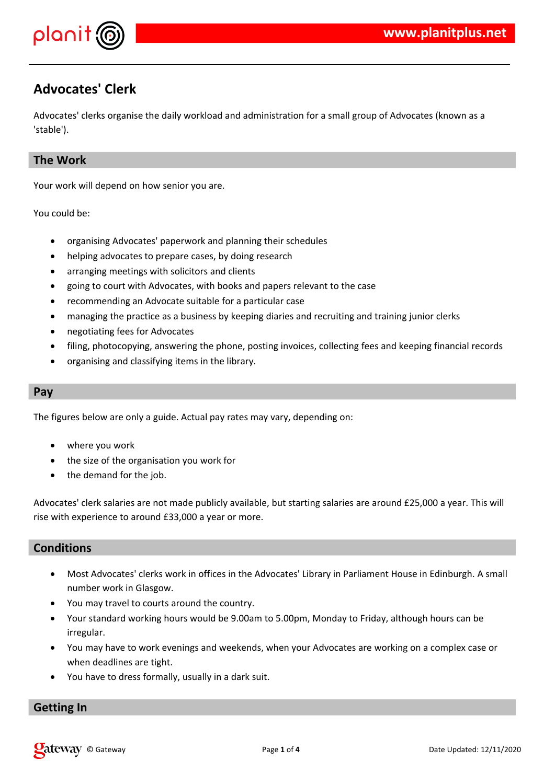

# **Advocates' Clerk**

Advocates' clerks organise the daily workload and administration for a small group of Advocates (known as a 'stable').

# **The Work**

Your work will depend on how senior you are.

You could be:

- organising Advocates' paperwork and planning their schedules
- helping advocates to prepare cases, by doing research
- arranging meetings with solicitors and clients
- going to court with Advocates, with books and papers relevant to the case
- recommending an Advocate suitable for a particular case
- managing the practice as a business by keeping diaries and recruiting and training junior clerks
- negotiating fees for Advocates
- filing, photocopying, answering the phone, posting invoices, collecting fees and keeping financial records
- organising and classifying items in the library.

#### **Pay**

The figures below are only a guide. Actual pay rates may vary, depending on:

- where you work
- the size of the organisation you work for
- the demand for the job.

Advocates' clerk salaries are not made publicly available, but starting salaries are around £25,000 a year. This will rise with experience to around £33,000 a year or more.

## **Conditions**

- Most Advocates' clerks work in offices in the Advocates' Library in Parliament House in Edinburgh. A small number work in Glasgow.
- You may travel to courts around the country.
- Your standard working hours would be 9.00am to 5.00pm, Monday to Friday, although hours can be irregular.
- You may have to work evenings and weekends, when your Advocates are working on a complex case or when deadlines are tight.
- You have to dress formally, usually in a dark suit.

# **Getting In**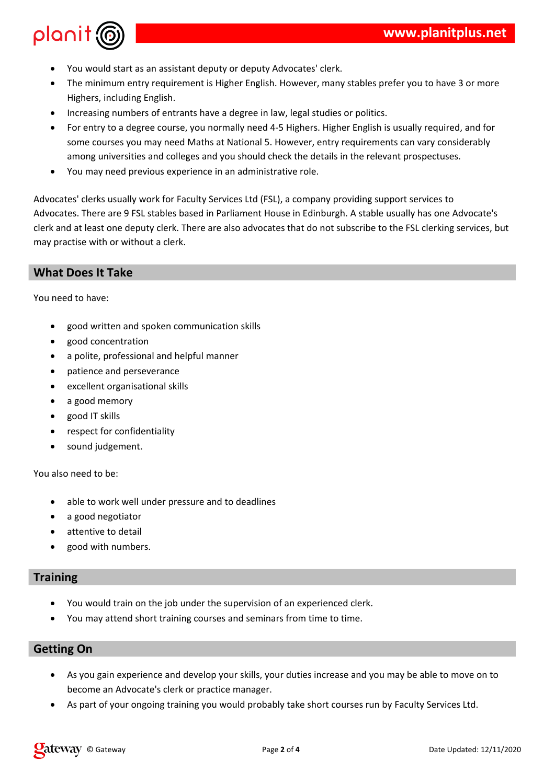

- You would start as an assistant deputy or deputy Advocates' clerk.
- The minimum entry requirement is Higher English. However, many stables prefer you to have 3 or more Highers, including English.
- Increasing numbers of entrants have a degree in law, legal studies or politics.
- For entry to a degree course, you normally need 4-5 Highers. Higher English is usually required, and for some courses you may need Maths at National 5. However, entry requirements can vary considerably among universities and colleges and you should check the details in the relevant prospectuses.
- You may need previous experience in an administrative role.

Advocates' clerks usually work for Faculty Services Ltd (FSL), a company providing support services to Advocates. There are 9 FSL stables based in Parliament House in Edinburgh. A stable usually has one Advocate's clerk and at least one deputy clerk. There are also advocates that do not subscribe to the FSL clerking services, but may practise with or without a clerk.

# **What Does It Take**

You need to have:

- good written and spoken communication skills
- good concentration
- a polite, professional and helpful manner
- patience and perseverance
- excellent organisational skills
- a good memory
- good IT skills
- respect for confidentiality
- sound judgement.

You also need to be:

- able to work well under pressure and to deadlines
- a good negotiator
- attentive to detail
- good with numbers.

## **Training**

- You would train on the job under the supervision of an experienced clerk.
- You may attend short training courses and seminars from time to time.

## **Getting On**

- As you gain experience and develop your skills, your duties increase and you may be able to move on to become an Advocate's clerk or practice manager.
- As part of your ongoing training you would probably take short courses run by Faculty Services Ltd.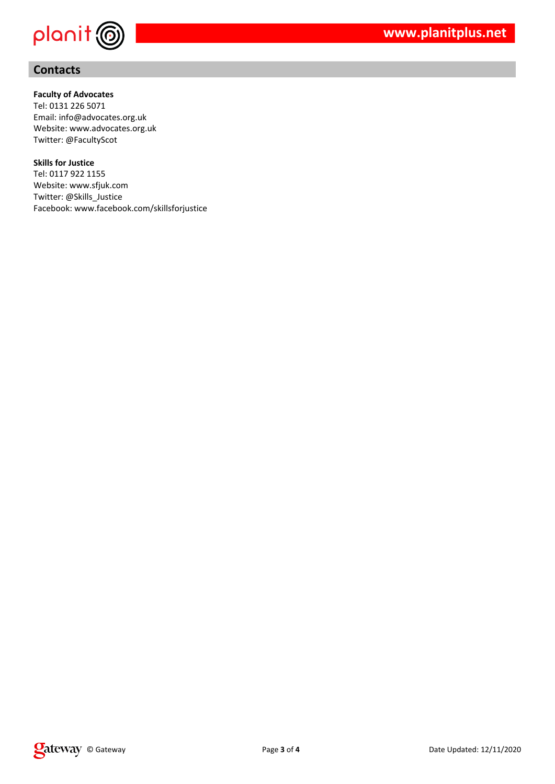

# **Contacts**

#### **Faculty of Advocates**

Tel: 0131 226 5071 Email: info@advocates.org.uk Website: www.advocates.org.uk Twitter: @FacultyScot

#### **Skills for Justice**

Tel: 0117 922 1155 Website: www.sfjuk.com Twitter: @Skills\_Justice Facebook: www.facebook.com/skillsforjustice